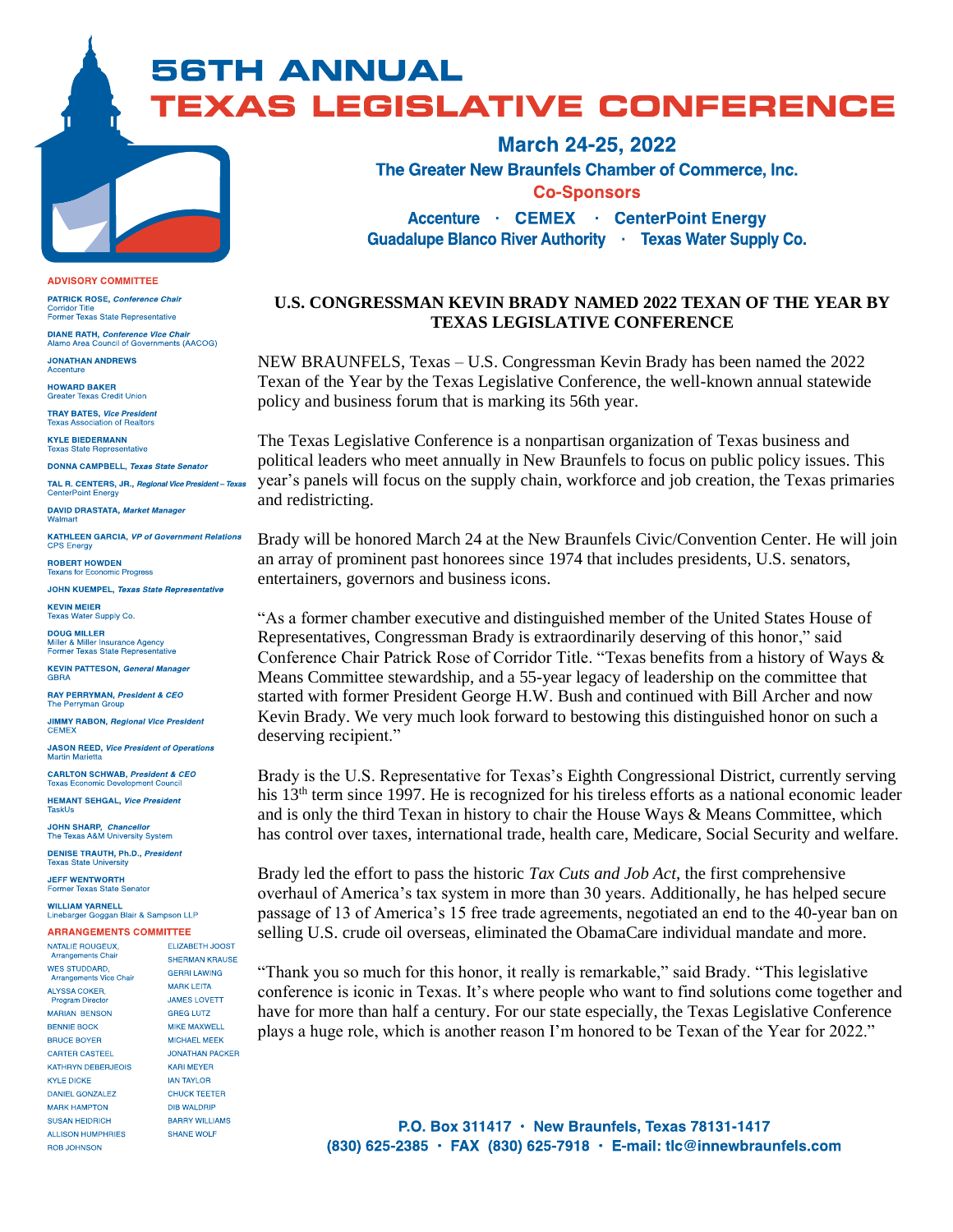**56TH ANNUAL TEXAS LEGISLATIVE CONFERENCE** 

> The Greater New Braunfels Chamber of Commerce, Inc. **Co-Sponsors Accenture · CEMEX · CenterPoint Energy** Guadalupe Blanco River Authority · Texas Water Supply Co.

**March 24-25, 2022** 

## **U.S. CONGRESSMAN KEVIN BRADY NAMED 2022 TEXAN OF THE YEAR BY TEXAS LEGISLATIVE CONFERENCE**

NEW BRAUNFELS, Texas – U.S. Congressman Kevin Brady has been named the 2022 Texan of the Year by the Texas Legislative Conference, the well-known annual statewide policy and business forum that is marking its 56th year.

The Texas Legislative Conference is a nonpartisan organization of Texas business and political leaders who meet annually in New Braunfels to focus on public policy issues. This year's panels will focus on the supply chain, workforce and job creation, the Texas primaries and redistricting.

Brady will be honored March 24 at the New Braunfels Civic/Convention Center. He will join an array of prominent past honorees since 1974 that includes presidents, U.S. senators, entertainers, governors and business icons.

"As a former chamber executive and distinguished member of the United States House of Representatives, Congressman Brady is extraordinarily deserving of this honor," said Conference Chair Patrick Rose of Corridor Title. "Texas benefits from a history of Ways & Means Committee stewardship, and a 55-year legacy of leadership on the committee that started with former President George H.W. Bush and continued with Bill Archer and now Kevin Brady. We very much look forward to bestowing this distinguished honor on such a deserving recipient."

Brady is the U.S. Representative for Texas's Eighth Congressional District, currently serving his 13<sup>th</sup> term since 1997. He is recognized for his tireless efforts as a national economic leader and is only the third Texan in history to chair the House Ways & Means Committee, which has control over taxes, international trade, health care, Medicare, Social Security and welfare.

Brady led the effort to pass the historic Tax Cuts and Job Act, the first comprehensive overhaul of America's tax system in more than 30 years. Additionally, he has helped secure passage of 13 of America's 15 free trade agreements, negotiated an end to the 40-year ban on selling U.S. crude oil overseas, eliminated the ObamaCare individual mandate and more.

"Thank you so much for this honor, it really is remarkable," said Brady. "This legislative conference is iconic in Texas. It's where people who want to find solutions come together and have for more than half a century. For our state especially, the Texas Legislative Conference plays a huge role, which is another reason I'm honored to be Texan of the Year for 2022."

> P.O. Box 311417 · New Braunfels, Texas 78131-1417 (830) 625-2385 · FAX (830) 625-7918 · E-mail: tlc@innewbraunfels.com

**ADVISORY COMMITTEE** 

PATRICK ROSE, Conference Chair Corridor Title<br>Former Texas State Representative

**DIANE RATH. Conference Vice Chair** ents (AACOG) Alamo Area Council of Governn

**JONATHAN ANDREWS** Accenture

**HOWARD BAKER Greater Texas Credit Union TRAY BATES, Vice President** 

on of Realtor **KYLE BIEDERMANN Texas State Representative** 

**DONNA CAMPBELL, Texas State Senator** 

TAL R. CENTERS, JR., Regional Vice President - Texas **CenterPoint Energy** 

**DAVID DRASTATA, Market Manager** Walmart

**KATHLEEN GARCIA. VP of Government Relations** CPS Energy

**ROBERT HOWDEN** Texans for Economic Progress

JOHN KUEMPEL, Texas State Representative

**KEVIN MEIER** Texas Water Supply Co

**DOUG MILLER** Miller & Miller Insurance Agency<br>Former Texas State Representat ativo

**KEVIN PATTESON, General Manager**<br>GBRA

**RAY PERRYMAN, President & CEO The Perryman Group** 

**JIMMY RABON, Regional Vice President** CEME)

**JASON REED, Vice President of Operations Martin Marietta** 

**CARLTON SCHWAB. President & CEO** Texas Economic Development Council

**HEMANT SEHGAL, Vice President** 

JOHN SHARP. Chancellor The Texas A&M University System

DENISE TRAUTH, Ph.D., President **Texas State University** 

**JEFF WENTWORTH Former Texas S** e Senator

**WILLIAM YARNELL** ebarger Goggan Blair & Sampson LLP

## **ARRANGEMENTS COMMITTEE** NATALIE ROUGEUX. **ELIZABETH JOOST**

| .                                                      |                        |
|--------------------------------------------------------|------------------------|
| <b>Arrangements Chair</b>                              | <b>SHERMAN KRAUSE</b>  |
| <b>WES STUDDARD,</b><br><b>Arrangements Vice Chair</b> | <b>GERRI LAWING</b>    |
| <b>ALYSSA COKER.</b>                                   | <b>MARK LEITA</b>      |
| <b>Program Director</b>                                | <b>JAMES LOVETT</b>    |
| <b>MARIAN BENSON</b>                                   | <b>GREG LUTZ</b>       |
| <b>BENNIE BOCK</b>                                     | <b>MIKE MAXWELL</b>    |
| <b>BRUCE BOYER</b>                                     | <b>MICHAEL MEEK</b>    |
| <b>CARTER CASTEEL</b>                                  | <b>JONATHAN PACKER</b> |
| <b>KATHRYN DEBERJEOIS</b>                              | <b>KARI MEYER</b>      |
| <b>KYLE DICKE</b>                                      | <b>JAN TAYLOR</b>      |
| DANIEL GONZALEZ                                        | <b>CHUCK TEETER</b>    |
| <b>MARK HAMPTON</b>                                    | <b>DIB WALDRIP</b>     |
| <b>SUSAN HEIDRICH</b>                                  | <b>BARRY WILLIAMS</b>  |
| <b>ALLISON HUMPHRIES</b>                               | <b>SHANE WOLF</b>      |
| ROB JOHNSON                                            |                        |